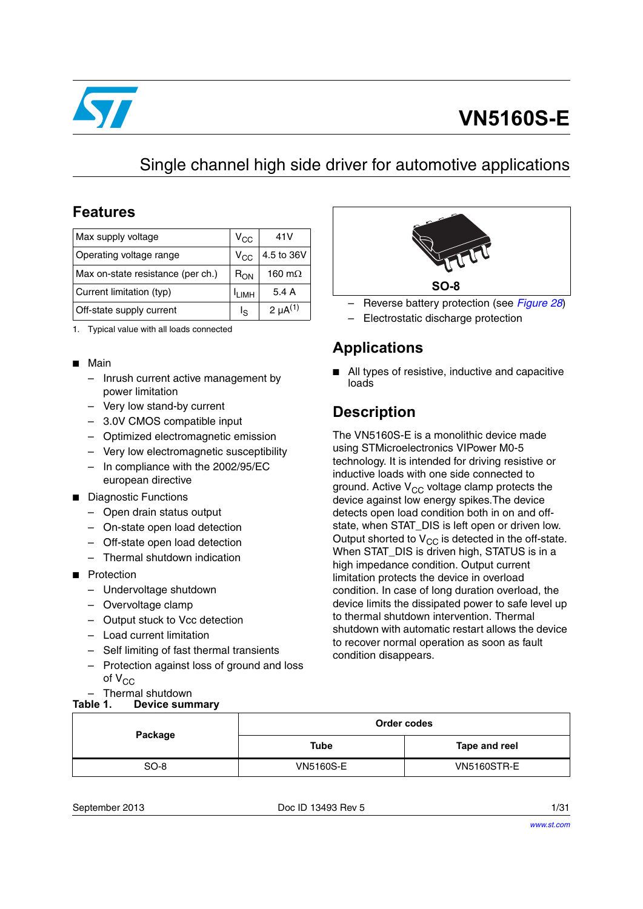

# **VN5160S-E**

# Single channel high side driver for automotive applications

## **Features**

| Max supply voltage                | $V_{CC}$           | 41 V            |
|-----------------------------------|--------------------|-----------------|
| Operating voltage range           | $V_{CC}$           | 4.5 to 36V      |
| Max on-state resistance (per ch.) | $R_{ON}$           | 160 m $\Omega$  |
| Current limitation (typ)          | <sup>I</sup> I IMH | 5.4A            |
| Off-state supply current          | ءا                 | 2 $\mu A^{(1)}$ |

1. Typical value with all loads connected

#### ■ Main

- Inrush current active management by power limitation
- Very low stand-by current
- 3.0V CMOS compatible input
- Optimized electromagnetic emission
- Very low electromagnetic susceptibility
- In compliance with the 2002/95/EC european directive
- Diagnostic Functions
	- Open drain status output
	- On-state open load detection
	- Off-state open load detection
	- Thermal shutdown indication
- Protection
	- Undervoltage shutdown
	- Overvoltage clamp
	- Output stuck to Vcc detection
	- Load current limitation
	- Self limiting of fast thermal transients
	- Protection against loss of ground and loss of  $V_{CC}$
- Thermal shutdown<br>Table 1. Device sum

<span id="page-0-0"></span>



- Reverse battery protection (see *[Figure 28](#page-19-0)*)
- Electrostatic discharge protection

# **Applications**

■ All types of resistive, inductive and capacitive loads

# **Description**

The VN5160S-E is a monolithic device made using STMicroelectronics VIPower M0-5 technology. It is intended for driving resistive or inductive loads with one side connected to ground. Active  $V_{CC}$  voltage clamp protects the device against low energy spikes.The device detects open load condition both in on and offstate, when STAT DIS is left open or driven low. Output shorted to  $V_{CC}$  is detected in the off-state. When STAT DIS is driven high, STATUS is in a high impedance condition. Output current limitation protects the device in overload condition. In case of long duration overload, the device limits the dissipated power to safe level up to thermal shutdown intervention. Thermal shutdown with automatic restart allows the device to recover normal operation as soon as fault condition disappears.

| Package | Order codes      |                    |  |
|---------|------------------|--------------------|--|
|         | Tube             | Tape and reel      |  |
| $SO-8$  | <b>VN5160S-E</b> | <b>VN5160STR-E</b> |  |

September 2013 Doc ID 13493 Rev 5 1/31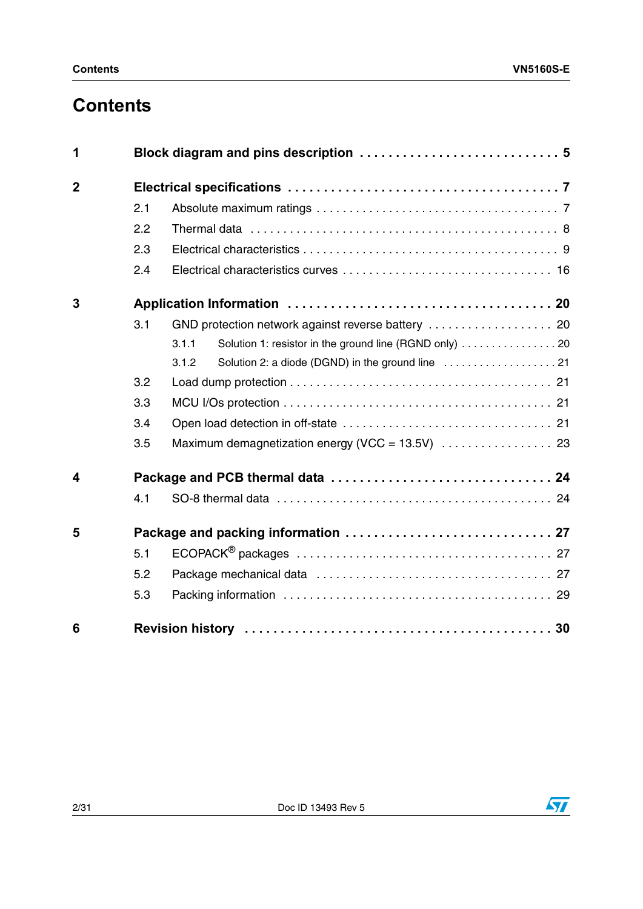# **Contents**

| 1                       |     | Block diagram and pins description  5                            |  |  |  |  |
|-------------------------|-----|------------------------------------------------------------------|--|--|--|--|
| $\overline{2}$          |     |                                                                  |  |  |  |  |
|                         | 2.1 |                                                                  |  |  |  |  |
|                         | 2.2 |                                                                  |  |  |  |  |
|                         | 2.3 |                                                                  |  |  |  |  |
|                         | 2.4 |                                                                  |  |  |  |  |
| 3                       |     |                                                                  |  |  |  |  |
|                         | 3.1 | GND protection network against reverse battery  20               |  |  |  |  |
|                         |     | Solution 1: resistor in the ground line (RGND only)  20<br>3.1.1 |  |  |  |  |
|                         |     | 3.1.2                                                            |  |  |  |  |
|                         | 3.2 |                                                                  |  |  |  |  |
|                         | 3.3 |                                                                  |  |  |  |  |
|                         | 3.4 |                                                                  |  |  |  |  |
|                         | 3.5 | Maximum demagnetization energy (VCC = 13.5V)  23                 |  |  |  |  |
| $\overline{\mathbf{4}}$ |     |                                                                  |  |  |  |  |
|                         | 4.1 |                                                                  |  |  |  |  |
| 5                       |     |                                                                  |  |  |  |  |
|                         | 5.1 |                                                                  |  |  |  |  |
|                         | 5.2 |                                                                  |  |  |  |  |
|                         | 5.3 |                                                                  |  |  |  |  |
| 6                       |     |                                                                  |  |  |  |  |

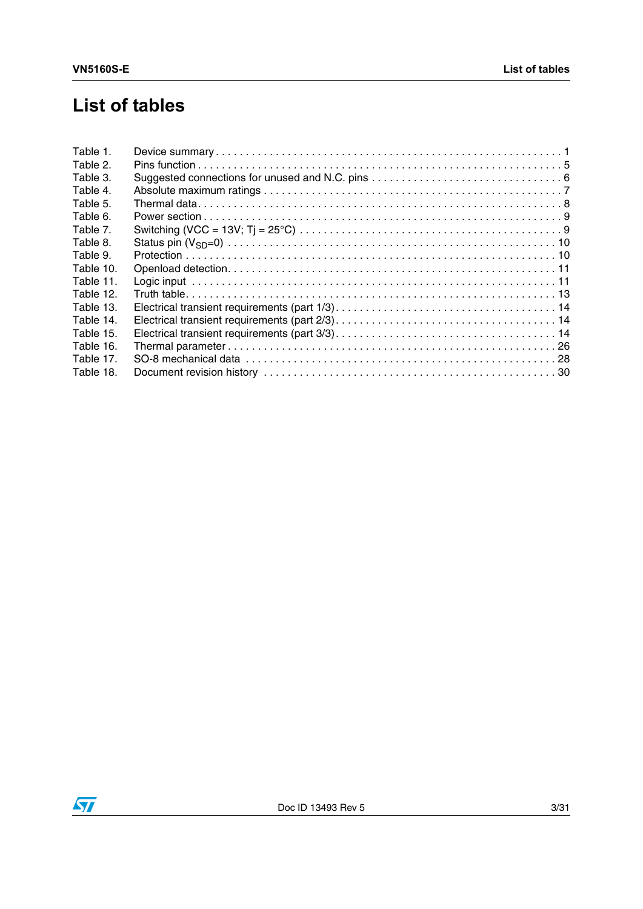# **List of tables**

| Table 1.  |  |
|-----------|--|
| Table 2.  |  |
| Table 3.  |  |
| Table 4.  |  |
| Table 5.  |  |
| Table 6.  |  |
| Table 7.  |  |
| Table 8.  |  |
| Table 9.  |  |
| Table 10. |  |
| Table 11. |  |
| Table 12. |  |
| Table 13. |  |
| Table 14. |  |
| Table 15. |  |
| Table 16. |  |
| Table 17. |  |
| Table 18. |  |

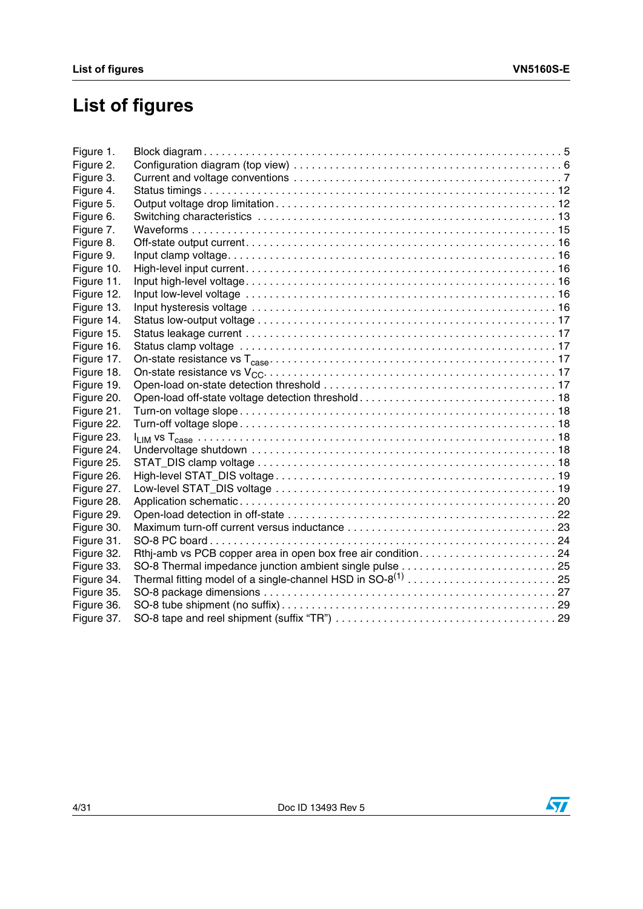# **List of figures**

| Rthi-amb vs PCB copper area in open box free air condition24            |
|-------------------------------------------------------------------------|
|                                                                         |
| Thermal fitting model of a single-channel HSD in SO-8 <sup>(1)</sup> 25 |
|                                                                         |
|                                                                         |
|                                                                         |
|                                                                         |

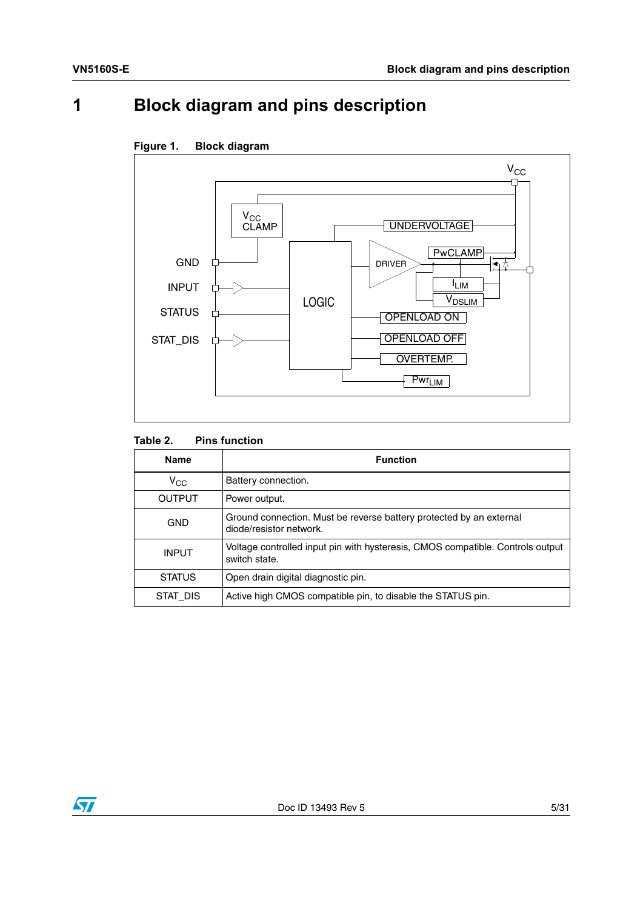# <span id="page-4-0"></span>**1 Block diagram and pins description**



### <span id="page-4-2"></span>**Figure 1. Block diagram**

<span id="page-4-1"></span>

| <b>Name</b>   | <b>Function</b>                                                                                 |
|---------------|-------------------------------------------------------------------------------------------------|
| $V_{\rm CC}$  | Battery connection.                                                                             |
| <b>OUTPUT</b> | Power output.                                                                                   |
| GND           | Ground connection. Must be reverse battery protected by an external<br>diode/resistor network.  |
| INPUT         | Voltage controlled input pin with hysteresis, CMOS compatible. Controls output<br>switch state. |
| <b>STATUS</b> | Open drain digital diagnostic pin.                                                              |
| STAT DIS      | Active high CMOS compatible pin, to disable the STATUS pin.                                     |

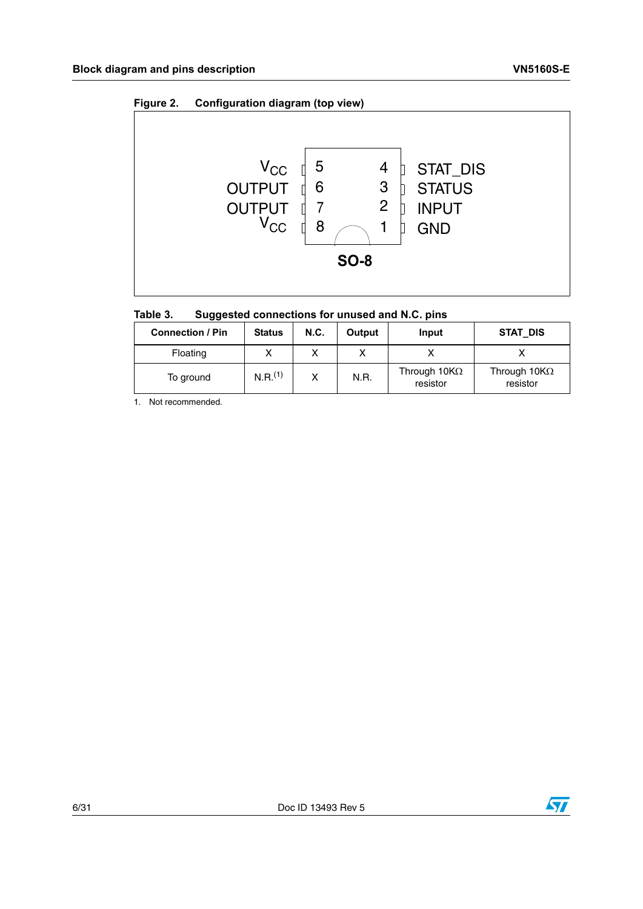<span id="page-5-1"></span>



<span id="page-5-0"></span>

| Table 3. | Suggested connections for unused and N.C. pins |  |
|----------|------------------------------------------------|--|
|----------|------------------------------------------------|--|

| <b>Connection / Pin</b> | <b>Status</b>       | <b>N.C.</b> | Output | Input                            | STAT DIS                        |
|-------------------------|---------------------|-------------|--------|----------------------------------|---------------------------------|
| Floating                |                     |             |        |                                  |                                 |
| To ground               | N.R. <sup>(1)</sup> |             | N.R.   | Through 10K $\Omega$<br>resistor | Through $10K\Omega$<br>resistor |

1. Not recommended.

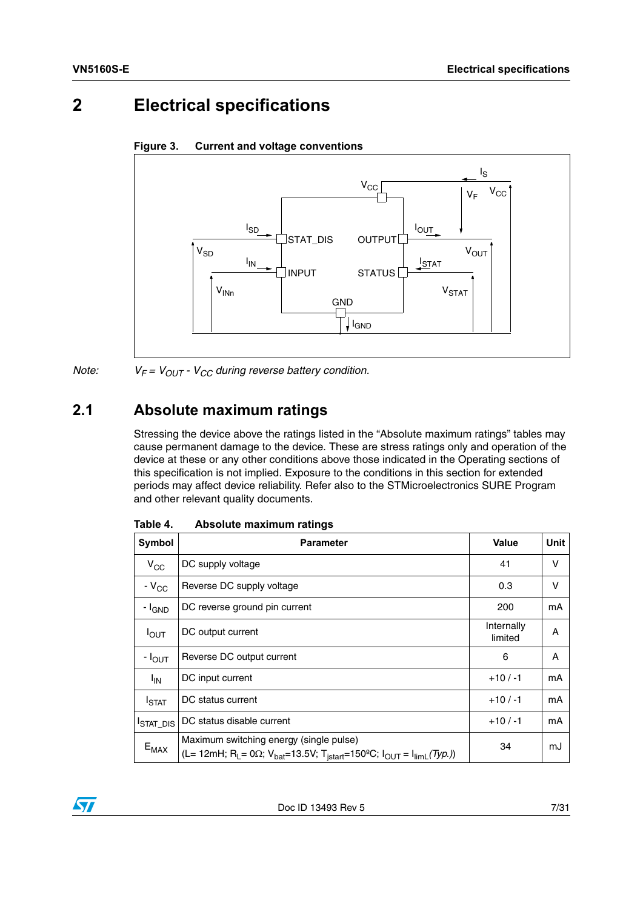# <span id="page-6-0"></span>**2 Electrical specifications**

<span id="page-6-3"></span>



*Note:*  $V_F = V_{OUT} - V_{CC}$  during reverse battery condition.

# <span id="page-6-1"></span>**2.1 Absolute maximum ratings**

Stressing the device above the ratings listed in the "Absolute maximum ratings" tables may cause permanent damage to the device. These are stress ratings only and operation of the device at these or any other conditions above those indicated in the Operating sections of this specification is not implied. Exposure to the conditions in this section for extended periods may affect device reliability. Refer also to the STMicroelectronics SURE Program and other relevant quality documents.

| Symbol             | <b>Parameter</b>                                                                                                                                                                                  | <b>Value</b>          | Unit |
|--------------------|---------------------------------------------------------------------------------------------------------------------------------------------------------------------------------------------------|-----------------------|------|
| $V_{\rm CC}$       | DC supply voltage                                                                                                                                                                                 | 41                    | v    |
| $-V_{CC}$          | Reverse DC supply voltage                                                                                                                                                                         | 0.3                   | v    |
| - I <sub>GND</sub> | DC reverse ground pin current                                                                                                                                                                     | 200                   | mA   |
| $I_{\text{OUT}}$   | DC output current                                                                                                                                                                                 | Internally<br>limited | A    |
| - I <sub>OUT</sub> | Reverse DC output current                                                                                                                                                                         | 6                     | A    |
| $I_{IN}$           | DC input current                                                                                                                                                                                  | $+10/ -1$             | mA   |
| <b>I</b> STAT      | DC status current                                                                                                                                                                                 | $+10/ -1$             | mA   |
| <b>I</b> STAT_DIS  | DC status disable current                                                                                                                                                                         | $+10/ -1$             | mA   |
| $E_{MAX}$          | Maximum switching energy (single pulse)<br>(L= 12mH; R <sub>L</sub> = 0 $\Omega$ ; V <sub>bat</sub> =13.5V; T <sub>istart</sub> =150 <sup>o</sup> C; I <sub>OUT</sub> = I <sub>limL</sub> (Typ.)) | 34                    | mJ   |

<span id="page-6-2"></span>Table 4. **Absolute maximum ratings** 

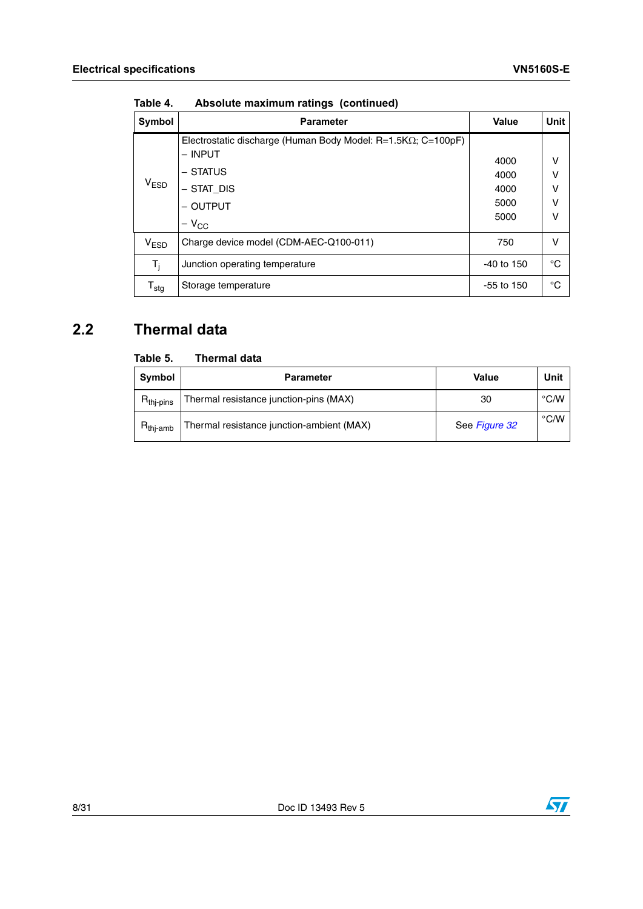| Symbol                    | <b>Parameter</b>                                                     | <b>Value</b> | <b>Unit</b> |
|---------------------------|----------------------------------------------------------------------|--------------|-------------|
|                           | Electrostatic discharge (Human Body Model: $R=1.5K\Omega$ ; C=100pF) |              |             |
|                           | $-$ INPUT                                                            | 4000         | V           |
|                           | - STATUS                                                             | 4000         | v           |
| V <sub>ESD</sub>          | $-$ STAT_DIS                                                         | 4000         | v           |
|                           | - OUTPUT                                                             | 5000         | V           |
|                           | $-V_{CC}$                                                            | 5000         | V           |
| V <sub>ESD</sub>          | Charge device model (CDM-AEC-Q100-011)                               | 750          | v           |
| $T_i$                     | Junction operating temperature                                       | $-40$ to 150 | °C          |
| $\mathsf{T}_{\text{stg}}$ | Storage temperature                                                  | $-55$ to 150 | °C          |

**Table 4. Absolute maximum ratings (continued)**

# <span id="page-7-0"></span>**2.2 Thermal data**

#### <span id="page-7-1"></span>Table 5. **Thermal data**

| Symbol                | <b>Parameter</b>                          | Value         | Unit           |
|-----------------------|-------------------------------------------|---------------|----------------|
| $R_{\text{thi-pins}}$ | Thermal resistance junction-pins (MAX)    | 30            | $^{\circ}$ C/W |
| $R_{thi-amb}$         | Thermal resistance junction-ambient (MAX) | See Figure 32 | $^{\circ}$ C/W |

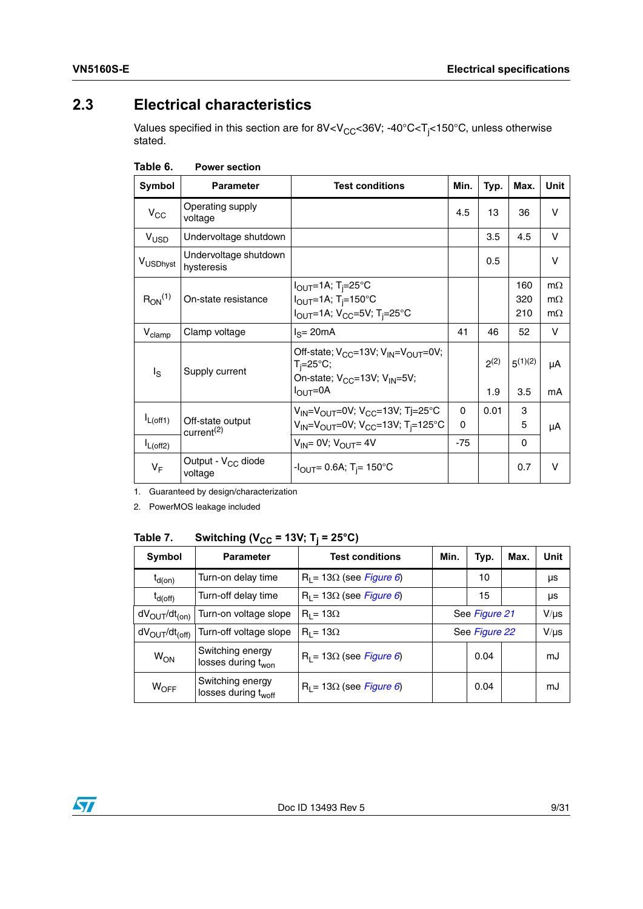# <span id="page-8-0"></span>**2.3 Electrical characteristics**

Values specified in this section are for 8V<V $_{\rm CC}$ <36V; -40°C<T<sub>j</sub><150°C, unless otherwise stated.

| Symbol             | <b>Parameter</b>                           | <b>Test conditions</b>                                                                                                                                       | Min.                    | Typ.      | Max.              | Unit                                |
|--------------------|--------------------------------------------|--------------------------------------------------------------------------------------------------------------------------------------------------------------|-------------------------|-----------|-------------------|-------------------------------------|
| $V_{\rm CC}$       | Operating supply<br>voltage                |                                                                                                                                                              | 4.5                     | 13        | 36                | V                                   |
| V <sub>USD</sub>   | Undervoltage shutdown                      |                                                                                                                                                              |                         | 3.5       | 4.5               | $\vee$                              |
| VUSDhyst           | Undervoltage shutdown<br>hysteresis        |                                                                                                                                                              |                         | 0.5       |                   | $\vee$                              |
| $R_{ON}^{(1)}$     | On-state resistance                        | $I_{\text{OUT}}$ =1A; T <sub>i</sub> =25°C<br>$I_{\text{OUT}}=1$ A; T <sub>i</sub> =150°C<br>$I_{\text{OUT}}$ =1A; $V_{\text{CC}}$ =5V; T <sub>i</sub> =25°C |                         |           | 160<br>320<br>210 | $m\Omega$<br>$m\Omega$<br>$m\Omega$ |
| $V_{\text{clamp}}$ | Clamp voltage                              | $IS=20mA$                                                                                                                                                    | 41                      | 46        | 52                | V                                   |
| Is                 | Supply current                             | Off-state; $V_{CC} = 13V$ ; $V_{IN} = V_{OUT} = 0V$ ;<br>$T_i = 25^\circ \text{C}$ ;<br>On-state; $V_{CC}$ =13V; $V_{IN}$ =5V;                               |                         | $2^{(2)}$ | $5^{(1)(2)}$      | μA                                  |
|                    |                                            | $I_{\text{OUT}} = 0A$                                                                                                                                        |                         | 1.9       | 3.5               | mA                                  |
| $I_{L(off1)}$      | Off-state output<br>current <sup>(2)</sup> | $V_{IN} = V_{OUT} = 0V$ ; $V_{CC} = 13V$ ; Tj=25°C<br>$V_{IN} = V_{OUT} = 0V$ ; $V_{CC} = 13V$ ; T <sub>i</sub> =125°C                                       | $\Omega$<br>$\mathbf 0$ | 0.01      | 3<br>5            | μA                                  |
| $I_{L(off2)}$      |                                            | $V_{IN} = 0V$ ; $V_{OUIT} = 4V$                                                                                                                              | $-75$                   |           | $\Omega$          |                                     |
| $V_F$              | Output - V <sub>CC</sub> diode<br>voltage  | $-I_{\text{OUT}} = 0.6$ A; T <sub>i</sub> = 150°C                                                                                                            |                         |           | 0.7               | $\vee$                              |

<span id="page-8-1"></span>

| Table 6. |  | <b>Power section</b> |
|----------|--|----------------------|
|          |  |                      |

1. Guaranteed by design/characterization

2. PowerMOS leakage included

### <span id="page-8-2"></span>Table 7. Switching  $(V_{CC} = 13V; T_1 = 25^{\circ}C)$

| Symbol                              | <b>Parameter</b>                                    | <b>Test conditions</b>          | Min.          | Typ. | Max.      | Unit      |
|-------------------------------------|-----------------------------------------------------|---------------------------------|---------------|------|-----------|-----------|
| $t_{d(on)}$                         | Turn-on delay time                                  | $R_1 = 13\Omega$ (see Figure 6) |               | 10   |           | μs        |
| $t_{\mathsf{d}(\mathsf{off})}$      | Turn-off delay time                                 | $R_1 = 13\Omega$ (see Figure 6) |               | 15   |           | μs        |
| $dV_{\rm OUT}/dt_{\rm (on)}$        | Turn-on voltage slope                               | $R_1 = 13\Omega$                | See Figure 21 |      |           | $V/\mu s$ |
| $dV_{\text{OUT}}/dt_{\text{(off)}}$ | Turn-off voltage slope                              | $R_1 = 13\Omega$                | See Figure 22 |      | $V/\mu s$ |           |
| <b>W<sub>ON</sub></b>               | Switching energy<br>losses during t <sub>won</sub>  | $R_1 = 13\Omega$ (see Figure 6) |               | 0.04 |           | mJ        |
| WOFF                                | Switching energy<br>losses during t <sub>woff</sub> | $R_1 = 13\Omega$ (see Figure 6) |               | 0.04 |           | mJ        |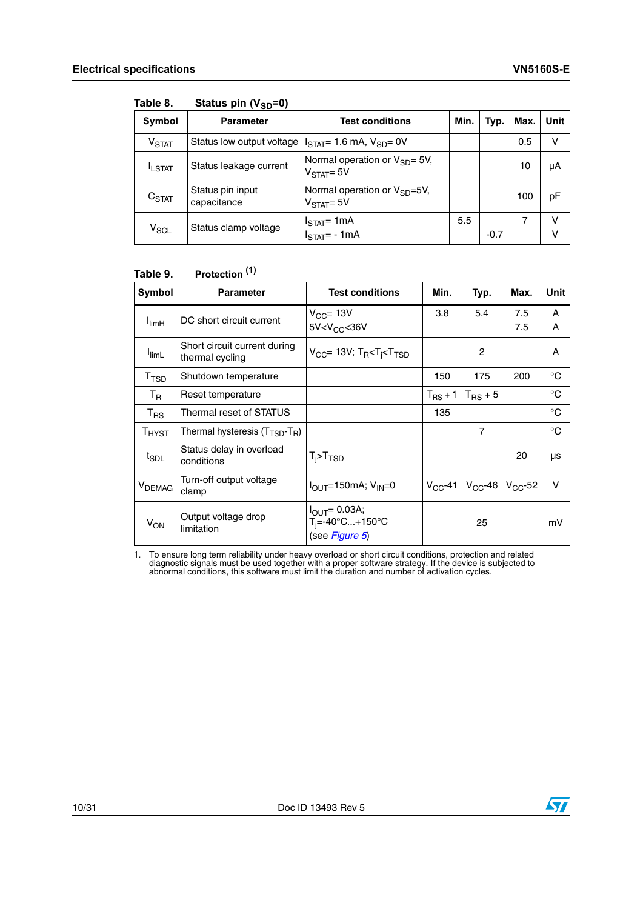| Symbol                 | <b>Parameter</b>                | <b>Test conditions</b>                               | Min. | Typ.   | Max. | Unit   |
|------------------------|---------------------------------|------------------------------------------------------|------|--------|------|--------|
| V <sub>STAT</sub>      | Status low output voltage       | $I_{\text{STAT}}$ = 1.6 mA, $V_{\text{SD}}$ = 0V     |      |        | 0.5  | v      |
| <sup>I</sup> LSTAT     | Status leakage current          | Normal operation or $V_{SD} = 5V$ ,<br>$VSTAT = 5V$  |      |        | 10   | μA     |
| $C_{\text{STAT}}$      | Status pin input<br>capacitance | Normal operation or $V_{SD} = 5V$ ,<br>$VSTAT = 5V$  |      |        | 100  | рF     |
| $\mathsf{v}_{\sf scl}$ | Status clamp voltage            | $I_{\text{STAT}}$ = 1mA<br>$I_{\text{STAT}}$ = - 1mA | 5.5  | $-0.7$ |      | v<br>v |

<span id="page-9-0"></span>Table 8. Status pin (V<sub>SD</sub>=0)

#### <span id="page-9-1"></span>Table 9. **Table 9. Protection (1)**

| Symbol                       | <b>Parameter</b>                                | <b>Test conditions</b>                                                           | Min. | Typ.                                       | Max.       | Unit        |
|------------------------------|-------------------------------------------------|----------------------------------------------------------------------------------|------|--------------------------------------------|------------|-------------|
| $I_{\text{limH}}$            | DC short circuit current                        | $V_{CC}$ = 13V<br>5V < V <sub>CC</sub> < 36V                                     | 3.8  | 5.4                                        | 7.5<br>7.5 | A<br>A      |
| <b>I</b> limL                | Short circuit current during<br>thermal cycling | $V_{CC}$ = 13V; $T_R$ < $T_i$ < $T_{TSD}$                                        |      | 2                                          |            | A           |
| T <sub>TSD</sub>             | Shutdown temperature                            |                                                                                  | 150  | 175                                        | 200        | °C          |
| $T_{\mathsf{R}}$             | Reset temperature                               |                                                                                  |      | $T_{RS}$ + 1   $T_{RS}$ + 5                |            | $^{\circ}C$ |
| $T_{\sf RS}$                 | Thermal reset of STATUS                         |                                                                                  | 135  |                                            |            | $^{\circ}C$ |
| $\mathsf{T}_{\mathsf{HYST}}$ | Thermal hysteresis $(T_{\text{TSD}}-T_R)$       |                                                                                  |      | $\overline{7}$                             |            | °C          |
| $t_{SDL}$                    | Status delay in overload<br>conditions          | $T_i$ > $T_{TSD}$                                                                |      |                                            | 20         | μs          |
| V <sub>DEMAG</sub>           | Turn-off output voltage<br>clamp                | $I_{\text{OUT}}$ =150mA; V <sub>IN</sub> =0                                      |      | $V_{CC}$ -41   $V_{CC}$ -46   $V_{CC}$ -52 |            | $\vee$      |
| $V_{ON}$                     | Output voltage drop<br>limitation               | $I_{\text{OUT}} = 0.03A;$<br>$T_i = -40^{\circ}C+150^{\circ}C$<br>(see Figure 5) |      | 25                                         |            | mV          |

1. To ensure long term reliability under heavy overload or short circuit conditions, protection and related diagnostic signals must be used together with a proper software strategy. If the device is subjected to abnormal c

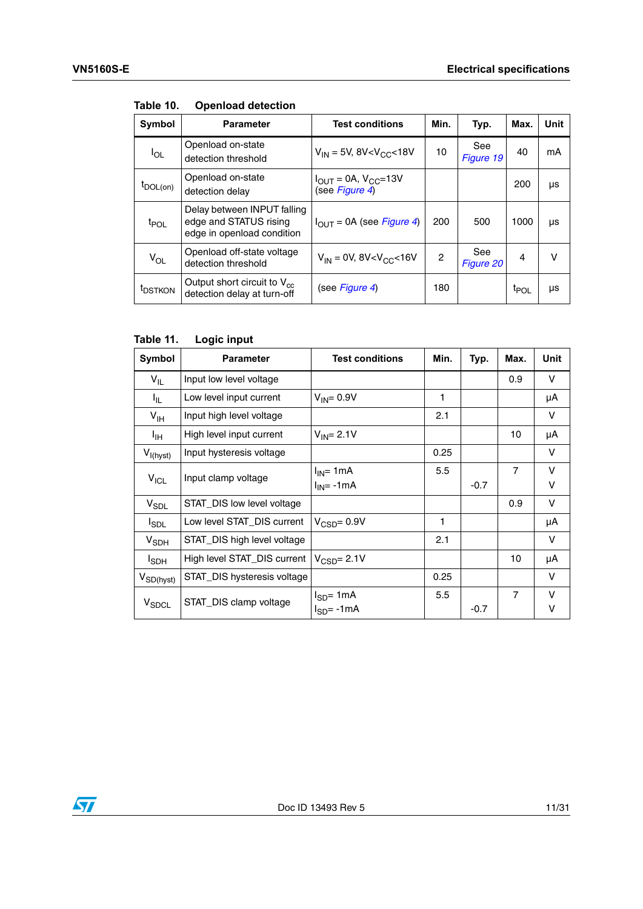| <b>Symbol</b>        | <b>Parameter</b>                                                                    | <b>Test conditions</b>                                       | Min. | Typ.             | Max.             | Unit |
|----------------------|-------------------------------------------------------------------------------------|--------------------------------------------------------------|------|------------------|------------------|------|
| l <sub>OL</sub>      | Openload on-state<br>detection threshold                                            | $V_{\text{IN}}$ = 5V, 8V <v<sub>CC&lt;18V</v<sub>            | 10   | See<br>Figure 19 | 40               | mA   |
| $t_{\text{DOL}(on)}$ | Openload on-state<br>detection delay                                                | $I_{\text{OUT}} = 0A, V_{\text{CC}} = 13V$<br>(see Figure 4) |      |                  | 200              | μs   |
| <sup>t</sup> POL     | Delay between INPUT falling<br>edge and STATUS rising<br>edge in openload condition | $I_{\text{OUT}} = 0A$ (see Figure 4)                         | 200  | 500              | 1000             | μs   |
| $V_{OL}$             | Openload off-state voltage<br>detection threshold                                   | $V_{IN} = 0V$ , 8V < V <sub>CC</sub> < 16V                   | 2    | See<br>Figure 20 | $\overline{4}$   | v    |
| <sup>t</sup> DSTKON  | Output short circuit to $V_{cc}$<br>detection delay at turn-off                     | (see Figure 4)                                               | 180  |                  | <sup>t</sup> POL | μs   |

#### <span id="page-10-0"></span>Table 10. **Openload detection**

<span id="page-10-1"></span>**Table 11. Logic input**

| Symbol                  | <b>Parameter</b>            | <b>Test conditions</b>            | Min. | Typ.   | Max.           | <b>Unit</b> |
|-------------------------|-----------------------------|-----------------------------------|------|--------|----------------|-------------|
| $V_{IL}$                | Input low level voltage     |                                   |      |        | 0.9            | v           |
| ŀμ.                     | Low level input current     | $V_{IN} = 0.9V$                   | 1    |        |                | μA          |
| V <sub>IH</sub>         | Input high level voltage    |                                   | 2.1  |        |                | v           |
| ŀщ                      | High level input current    | $V_{IN} = 2.1V$                   |      |        | 10             | μA          |
| $V_{I(hyst)}$           | Input hysteresis voltage    |                                   | 0.25 |        |                | v           |
| $V_{ICL}$               | Input clamp voltage         | $I_{IN}$ = 1mA<br>$I_{IN}$ = -1mA | 5.5  | $-0.7$ | $\overline{7}$ | $\vee$<br>v |
| $V_{SDL}$               | STAT_DIS low level voltage  |                                   |      |        | 0.9            | v           |
| <b>I</b> <sub>SDL</sub> | Low level STAT_DIS current  | $V_{CSD} = 0.9V$                  | 1    |        |                | μA          |
| $V_{SDH}$               | STAT_DIS high level voltage |                                   | 2.1  |        |                | v           |
| I <sub>SDH</sub>        | High level STAT_DIS current | $V_{CSD} = 2.1V$                  |      |        | 10             | μA          |
| $V_{SD(hyst)}$          | STAT_DIS hysteresis voltage |                                   | 0.25 |        |                | v           |
| V <sub>SDCL</sub>       | STAT_DIS clamp voltage      | $I_{SD}$ = 1mA<br>$I_{SD} = -1mA$ | 5.5  | $-0.7$ | $\overline{7}$ | $\vee$<br>v |

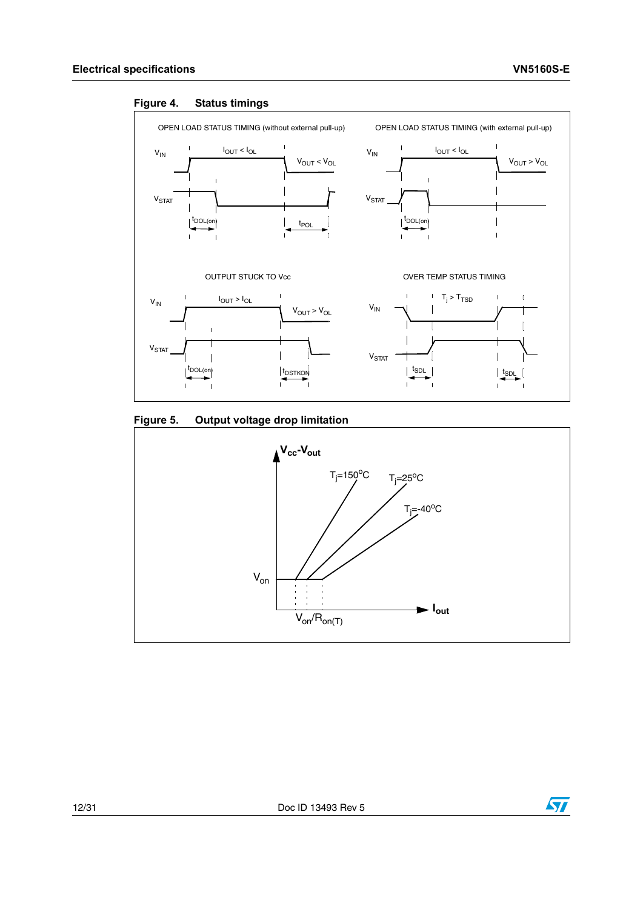

 $\mathbf{I}$ 

 $\mathbf{I}$ 

 $\mathbf{I}$ 

<span id="page-11-0"></span>

<span id="page-11-1"></span>

 $\mathbf{I}$ 

 $\overline{1}$ 

 $\mathbf{r}$ 



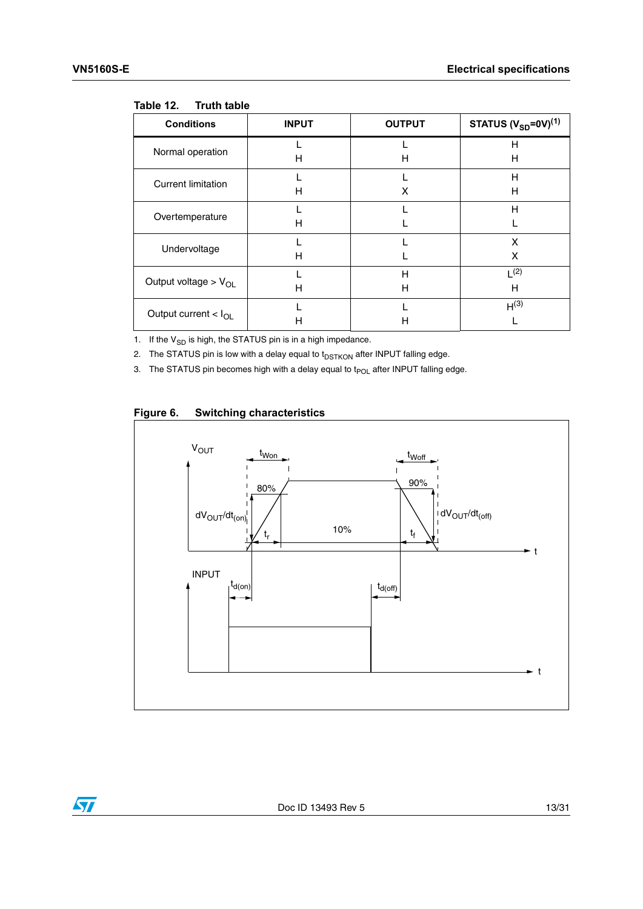| <b>Conditions</b>             | <b>INPUT</b> | <b>OUTPUT</b> | <b>STATUS</b> $(V_{SD} = 0V)^{(1)}$ |
|-------------------------------|--------------|---------------|-------------------------------------|
| Normal operation              |              |               | Н                                   |
|                               | н            | н             | н                                   |
| <b>Current limitation</b>     |              |               | Н                                   |
|                               | Н            | X             | Н                                   |
| Overtemperature               |              |               | н                                   |
|                               | н            |               |                                     |
| Undervoltage                  |              |               | X                                   |
|                               | Н            |               | X                                   |
| Output voltage > $V_{OL}$     |              | Н             | (2)                                 |
|                               | н            | н             | н                                   |
| Output current $< l_{\Omega}$ |              |               | H <sup>(3)</sup>                    |
|                               | н            | н             |                                     |

#### <span id="page-12-0"></span>Table 12 **Truth table**

1. If the  $V_{SD}$  is high, the STATUS pin is in a high impedance.

2. The STATUS pin is low with a delay equal to  $t_{\text{DSTKON}}$  after INPUT falling edge.

3. The STATUS pin becomes high with a delay equal to  $t_{POL}$  after INPUT falling edge.

#### <span id="page-12-1"></span>**Figure 6. Switching characteristics**



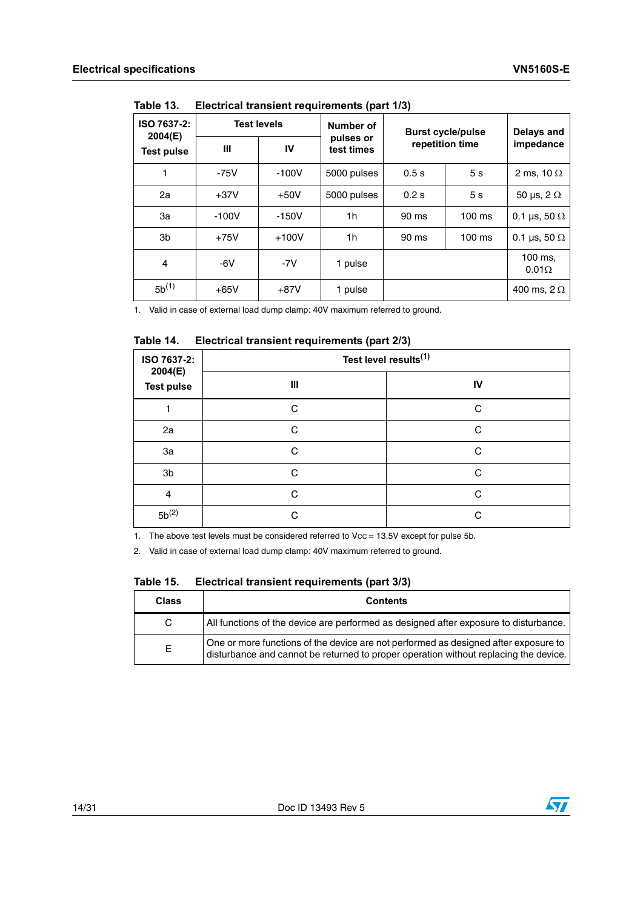| ISO 7637-2:<br>2004(E) | <b>Test levels</b> |         | Number of               | <b>Burst cycle/pulse</b> |                 | Delays and              |
|------------------------|--------------------|---------|-------------------------|--------------------------|-----------------|-------------------------|
| <b>Test pulse</b>      | Ш                  | IV      | pulses or<br>test times |                          | repetition time |                         |
|                        | $-75V$             | $-100V$ | 5000 pulses             | 0.5s                     | 5s              | 2 ms, 10 $\Omega$       |
| 2a                     | $+37V$             | $+50V$  | 5000 pulses             | 0.2s                     | 5s              | 50 µs, $2 \Omega$       |
| За                     | $-100V$            | $-150V$ | 1h                      | 90 ms                    | $100$ ms        | 0.1 µs, 50 $\Omega$     |
| 3b                     | $+75V$             | $+100V$ | 1h                      | 90 ms                    | $100$ ms        | 0.1 µs, 50 $\Omega$     |
| 4                      | $-6V$              | $-7V$   | 1 pulse                 |                          |                 | 100 ms.<br>$0.01\Omega$ |
| $5b^{(1)}$             | $+65V$             | $+87V$  | 1 pulse                 |                          |                 | 400 ms, $2 \Omega$      |

<span id="page-13-0"></span>Table 13. **Electrical transient requirements (part 1/3)** 

1. Valid in case of external load dump clamp: 40V maximum referred to ground.

<span id="page-13-1"></span>

| Table 14. | Electrical transient requirements (part 2/3) |  |
|-----------|----------------------------------------------|--|
|           |                                              |  |

| ISO 7637-2:                  | Test level results <sup>(1)</sup> |    |  |  |  |
|------------------------------|-----------------------------------|----|--|--|--|
| 2004(E)<br><b>Test pulse</b> | Ш                                 | IV |  |  |  |
|                              | C                                 | C  |  |  |  |
| 2a                           | C                                 | C  |  |  |  |
| 3a                           | C                                 | C  |  |  |  |
| 3 <sub>b</sub>               | C                                 | C  |  |  |  |
| 4                            | C                                 | C  |  |  |  |
| $5b^{(2)}$                   | C                                 | C  |  |  |  |

1. The above test levels must be considered referred to Vcc = 13.5V except for pulse 5b.

2. Valid in case of external load dump clamp: 40V maximum referred to ground.

<span id="page-13-2"></span>Table 15. **Electrical transient requirements (part 3/3)** 

| <b>Class</b> | <b>Contents</b>                                                                                                                                                             |
|--------------|-----------------------------------------------------------------------------------------------------------------------------------------------------------------------------|
| C.           | All functions of the device are performed as designed after exposure to disturbance.                                                                                        |
| F.           | One or more functions of the device are not performed as designed after exposure to<br>disturbance and cannot be returned to proper operation without replacing the device. |

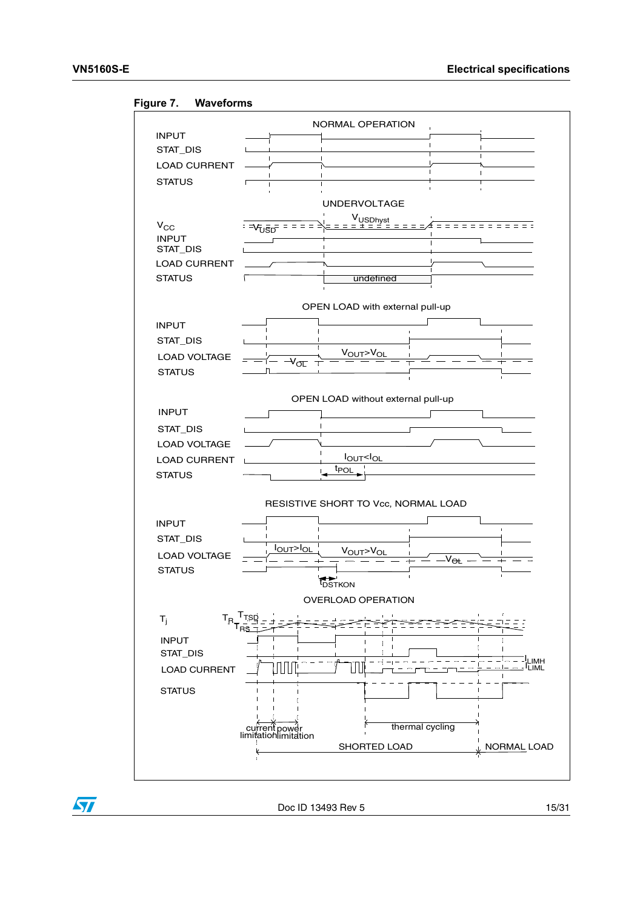57



#### <span id="page-14-0"></span>**Figure 7. Waveforms**

Doc ID 13493 Rev 5 15/31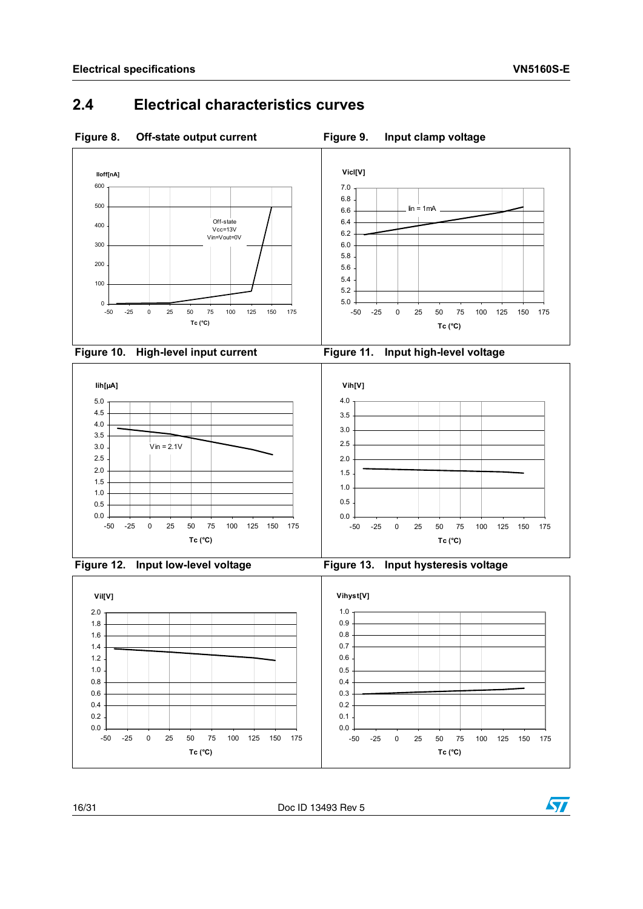# <span id="page-15-0"></span>**2.4 Electrical characteristics curves**

<span id="page-15-1"></span>

<span id="page-15-3"></span>

<span id="page-15-4"></span><span id="page-15-2"></span>



<span id="page-15-5"></span>

<span id="page-15-6"></span>



16/31 Doc ID 13493 Rev 5

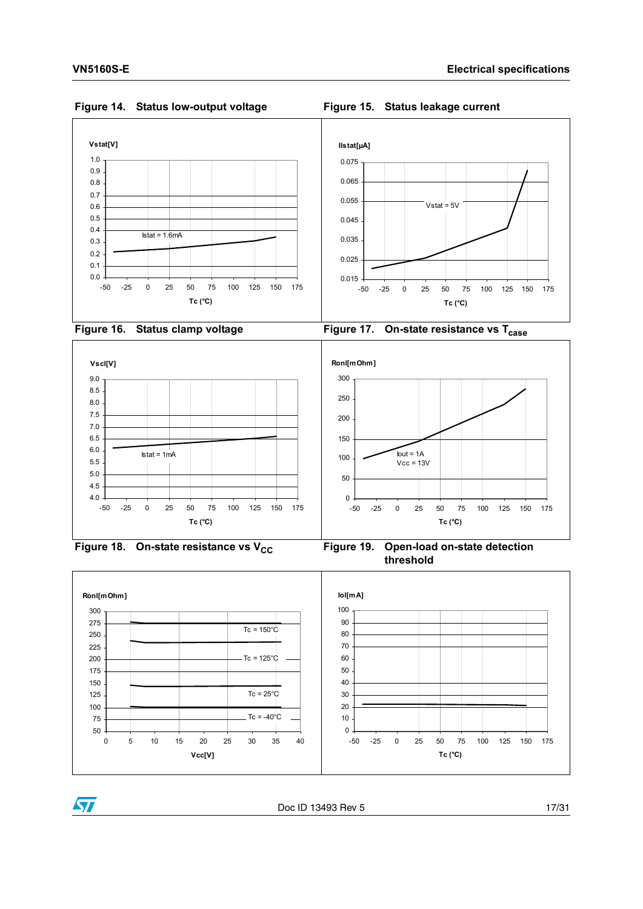

#### <span id="page-16-0"></span>Figure 14. Status low-output voltage Figure 15. Status leakage current

<span id="page-16-3"></span><span id="page-16-1"></span>



<span id="page-16-2"></span>



<span id="page-16-5"></span>

<span id="page-16-4"></span>Figure 18. On-state resistance vs V<sub>CC</sub> Figure 19. Open-load on-state detection **threshold**



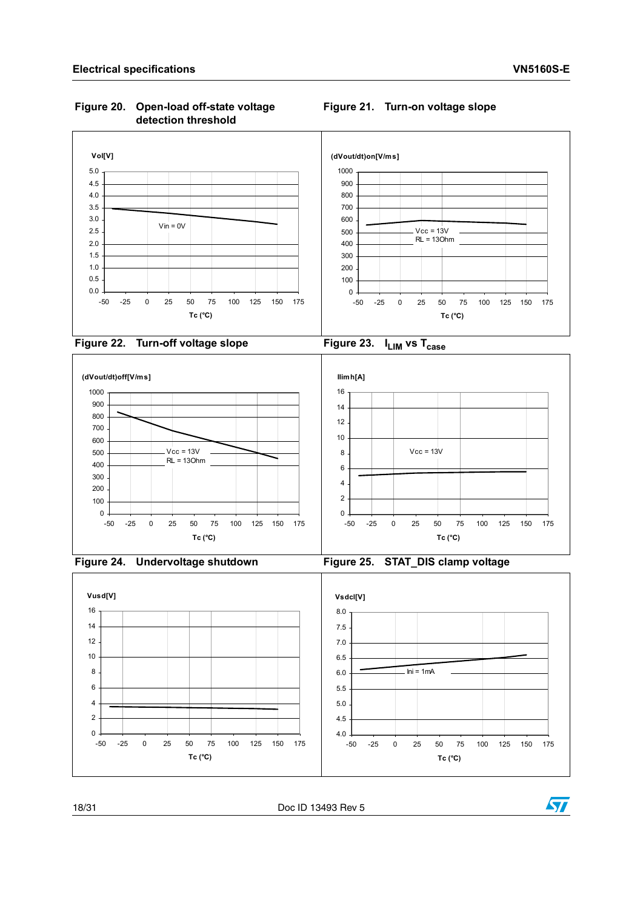#### <span id="page-17-0"></span>**Figure 20. Open-load off-state voltage detection threshold**



#### <span id="page-17-2"></span>**(dVout/dt)off[V/ms]**  $\mathbf{0}$ 100 200 300 400 500 600 700 800 900 1000 -50 -25 0 25 50 75 100 125 150 175 **Tc (°C)**  $Vcc = 13V$ RL = 13Ohm **Ilimh[A]**  $\overline{0}$ 2 4 6 8 10 12 14 16 -50 -25 0 25 50 75 100 125 150 175 **Tc (°C)**  $Vcc = 13V$

<span id="page-17-4"></span>

<span id="page-17-5"></span><span id="page-17-3"></span>

<span id="page-17-1"></span>**Figure 21. Turn-on voltage slope**



18/31 Doc ID 13493 Rev 5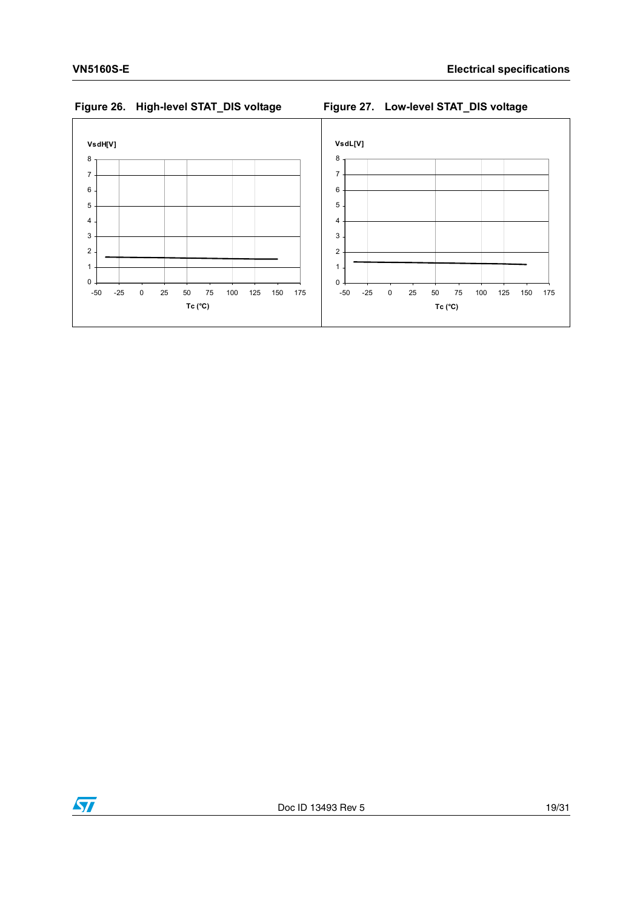### <span id="page-18-1"></span><span id="page-18-0"></span>**Figure 26. High-level STAT\_DIS voltage Figure 27. Low-level STAT\_DIS voltage**



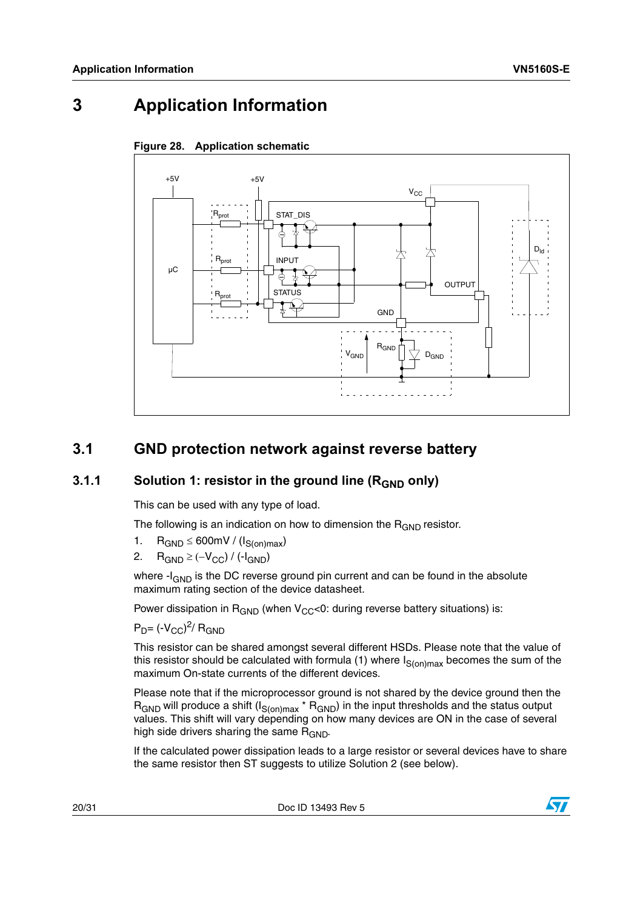# <span id="page-19-1"></span>**3 Application Information**



### <span id="page-19-4"></span><span id="page-19-0"></span>**Figure 28. Application schematic**

# <span id="page-19-2"></span>**3.1 GND protection network against reverse battery**

### <span id="page-19-3"></span>**3.1.1** Solution 1: resistor in the ground line (R<sub>GND</sub> only)

This can be used with any type of load.

The following is an indication on how to dimension the  $R_{GND}$  resistor.

- 1.  $R_{GND} \leq 600$ mV / ( $I_{S(on)max}$ )
- 2.  $R_{GND} \geq (-V_{CC}) / (-I_{GND})$

where  $-I_{GND}$  is the DC reverse ground pin current and can be found in the absolute maximum rating section of the device datasheet.

Power dissipation in  $R_{GND}$  (when  $V_{CC}$ <0: during reverse battery situations) is:

 $P_D$ = (- $V_{CC}$ )<sup>2</sup>/ R<sub>GND</sub>

This resistor can be shared amongst several different HSDs. Please note that the value of this resistor should be calculated with formula (1) where  $I_{S(on)max}$  becomes the sum of the maximum On-state currents of the different devices.

Please note that if the microprocessor ground is not shared by the device ground then the  $R_{\text{GND}}$  will produce a shift (I<sub>S(on)max</sub> \*  $R_{\text{GND}}$ ) in the input thresholds and the status output values. This shift will vary depending on how many devices are ON in the case of several high side drivers sharing the same  $R_{GND}$ .

If the calculated power dissipation leads to a large resistor or several devices have to share the same resistor then ST suggests to utilize Solution 2 (see below).

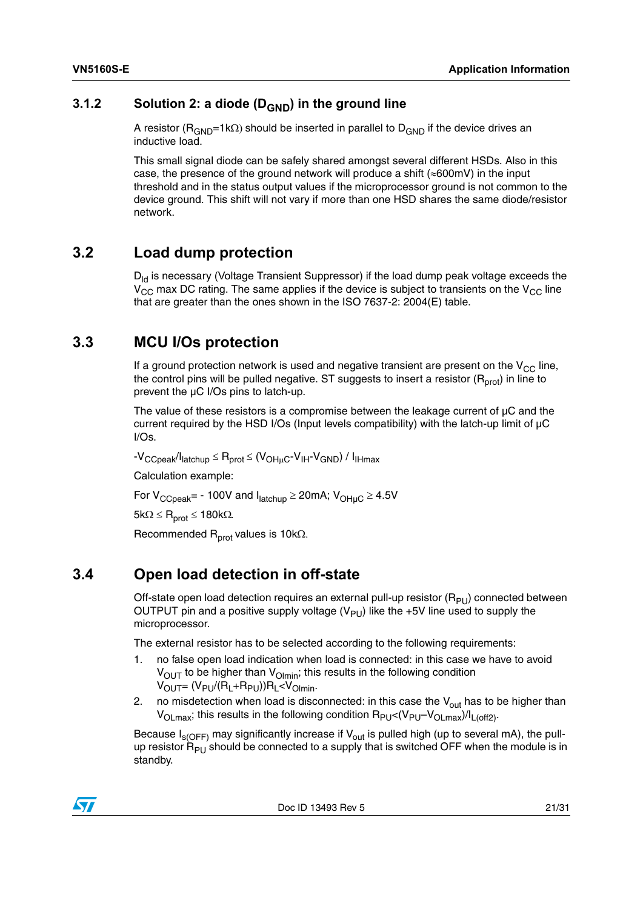### <span id="page-20-0"></span>**3.1.2** Solution 2: a diode (D<sub>GND</sub>) in the ground line

A resistor ( $R_{GND}=1k\Omega$ ) should be inserted in parallel to  $D_{GND}$  if the device drives an inductive load.

This small signal diode can be safely shared amongst several different HSDs. Also in this case, the presence of the ground network will produce a shift ( $\approx$ 600mV) in the input threshold and in the status output values if the microprocessor ground is not common to the device ground. This shift will not vary if more than one HSD shares the same diode/resistor network.

## <span id="page-20-1"></span>**3.2 Load dump protection**

 $D_{\text{Id}}$  is necessary (Voltage Transient Suppressor) if the load dump peak voltage exceeds the  $V_{CC}$  max DC rating. The same applies if the device is subject to transients on the  $V_{CC}$  line that are greater than the ones shown in the ISO 7637-2: 2004(E) table.

## <span id="page-20-2"></span>**3.3 MCU I/Os protection**

If a ground protection network is used and negative transient are present on the  $V_{CC}$  line, the control pins will be pulled negative. ST suggests to insert a resistor  $(R<sub>prot</sub>)$  in line to prevent the µC I/Os pins to latch-up.

The value of these resistors is a compromise between the leakage current of  $\mu$ C and the current required by the HSD I/Os (Input levels compatibility) with the latch-up limit of µC I/Os.

 $-V_{\text{CCoeak}}/I_{\text{latchup}} \leq R_{\text{prot}} \leq (V_{\text{OHuc}}-V_{\text{IH}}-V_{\text{GND}})/I_{\text{IHmax}}$ 

Calculation example:

For  $V_{CCpeak}$  = - 100V and  $I_{\text{latchup}} \geq 20 \text{mA}$ ;  $V_{\text{OH}_{\text{HC}}} \geq 4.5 \text{V}$ 

 $5k\Omega \le R_{prot} \le 180k\Omega$ .

Recommended  $R_{prot}$  values is 10k $\Omega$ .

# <span id="page-20-3"></span>**3.4 Open load detection in off-state**

Off-state open load detection requires an external pull-up resistor  $(R_{PI})$  connected between OUTPUT pin and a positive supply voltage  $(V_{\text{PI}})$  like the +5V line used to supply the microprocessor.

The external resistor has to be selected according to the following requirements:

- 1. no false open load indication when load is connected: in this case we have to avoid  $V_{\text{OUT}}$  to be higher than  $V_{\text{O}}$ <sub>lmin</sub>; this results in the following condition  $V_{OUT} = (V_{PU}/(R_L + R_{PU}))R_L < V_{Olmin}$ .
- 2. no misdetection when load is disconnected: in this case the  $V_{\text{out}}$  has to be higher than  $V_{OLmax}$ ; this results in the following condition  $R_{PU}$ < $(V_{PU}$ - $V_{OLmax}$  $/l_{L(off2)}$ .

Because  $I_{s(OFF)}$  may significantly increase if  $V_{out}$  is pulled high (up to several mA), the pullup resistor  $\overline{R}_{PU}$  should be connected to a supply that is switched OFF when the module is in standby.

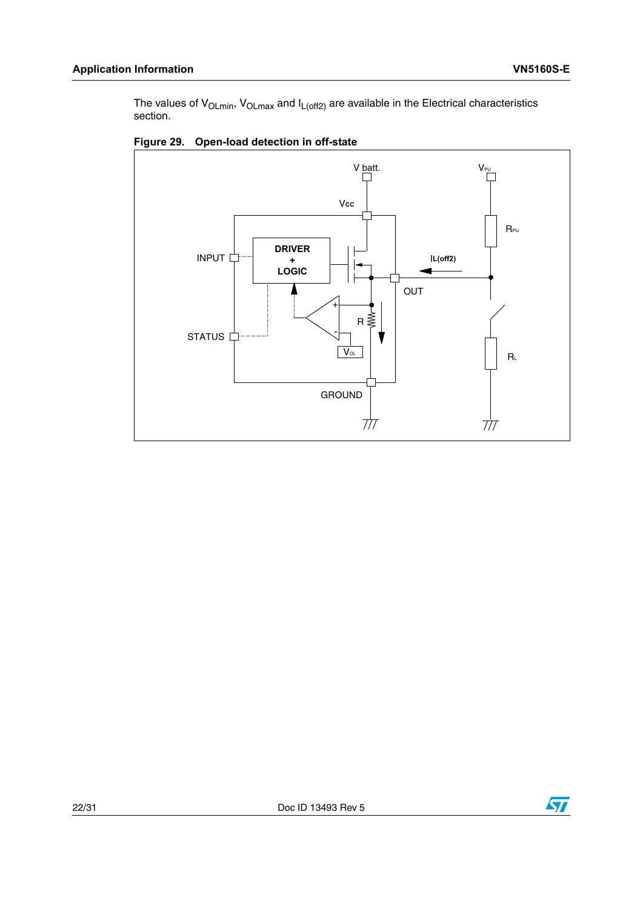The values of  $V_{OLmin}$ ,  $V_{OLmax}$  and  $I_{L(off2)}$  are available in the Electrical characteristics section.



<span id="page-21-0"></span>

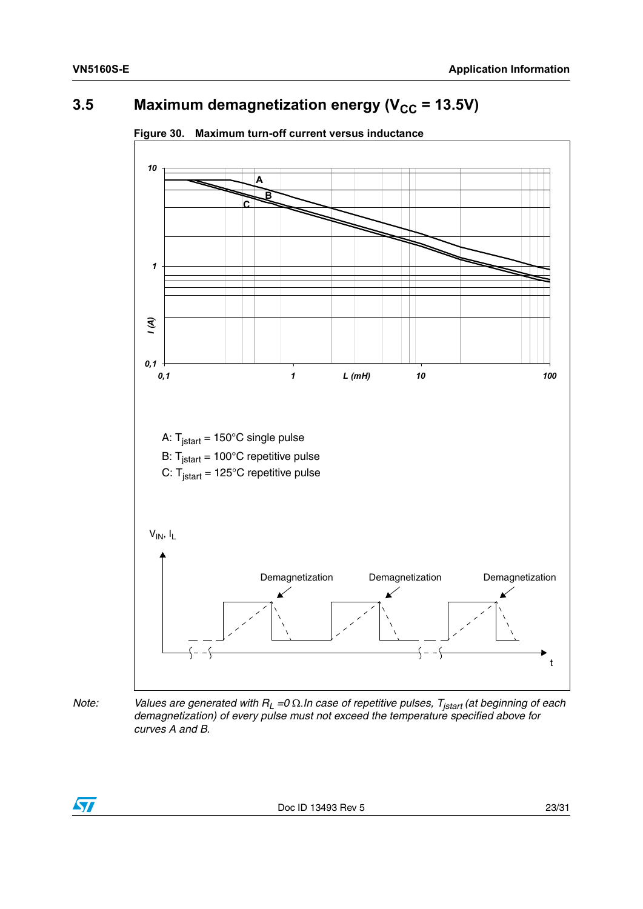# <span id="page-22-0"></span>**3.5** Maximum demagnetization energy ( $V_{CC}$  = 13.5V)



<span id="page-22-1"></span>

*Note: Values are generated with R<sub>L</sub>* =0 Ω. In case of repetitive pulses, T<sub>jstart</sub> (at beginning of each *demagnetization) of every pulse must not exceed the temperature specified above for curves A and B.*

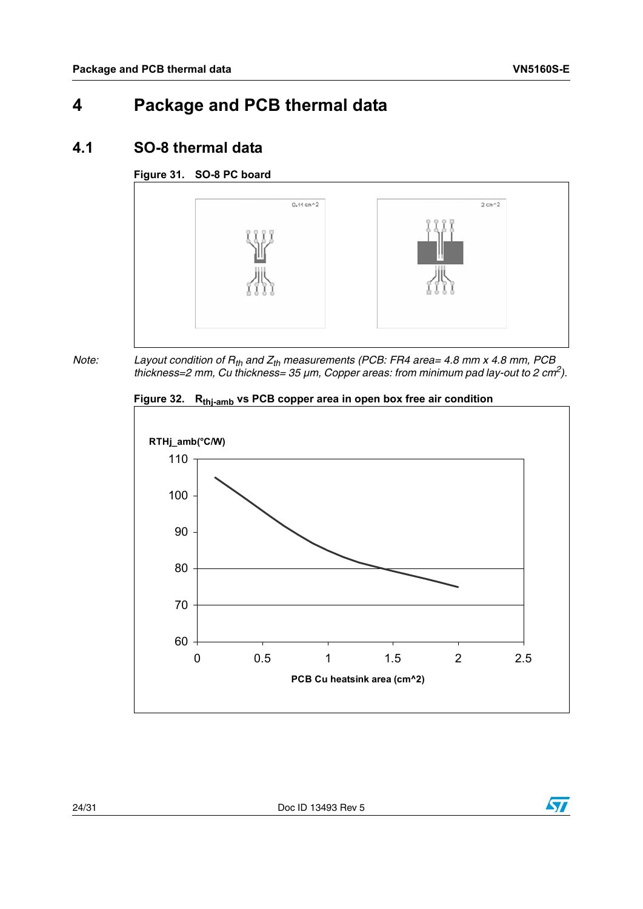# <span id="page-23-0"></span>**4 Package and PCB thermal data**

## <span id="page-23-1"></span>**4.1 SO-8 thermal data**

### <span id="page-23-2"></span>**Figure 31. SO-8 PC board**



#### *Note:* Layout condition of R<sub>th</sub> and Z<sub>th</sub> measurements (PCB: FR4 area= 4.8 mm x 4.8 mm, PCB *thickness=2 mm, Cu thickness= 35 µm, Copper areas: from minimum pad lay-out to 2 cm2).*

<span id="page-23-3"></span>



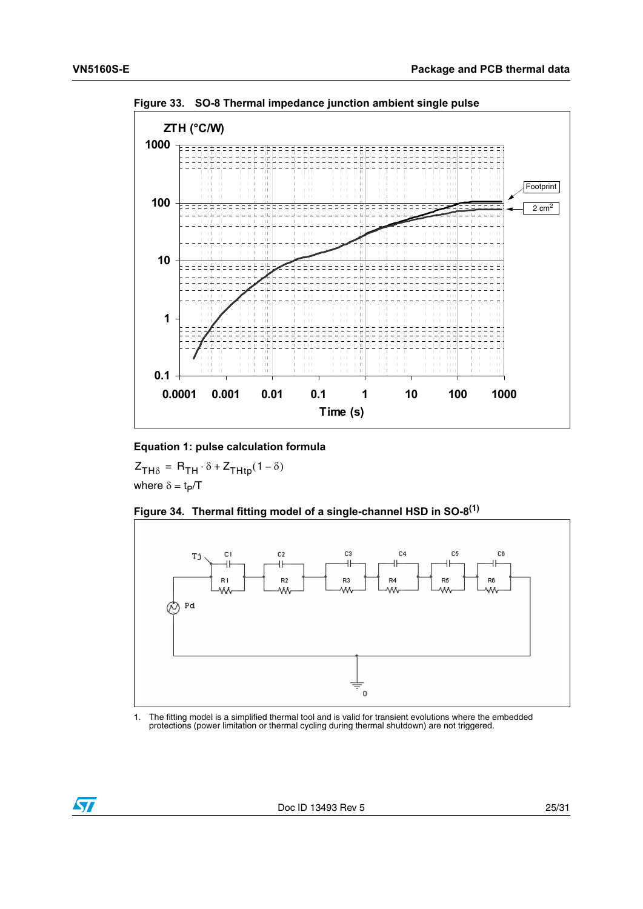

<span id="page-24-0"></span>**Figure 33. SO-8 Thermal impedance junction ambient single pulse**

**Equation 1: pulse calculation formula**

where  $\delta = t_P/T$  $Z_{TH\delta} = R_{TH} \cdot \delta + Z_{THtp}(1 - \delta)$ 

<span id="page-24-1"></span>

<span id="page-24-2"></span>1. The fitting model is a simplified thermal tool and is valid for transient evolutions where the embedded protections (power limitation or thermal cycling during thermal shutdown) are not triggered.

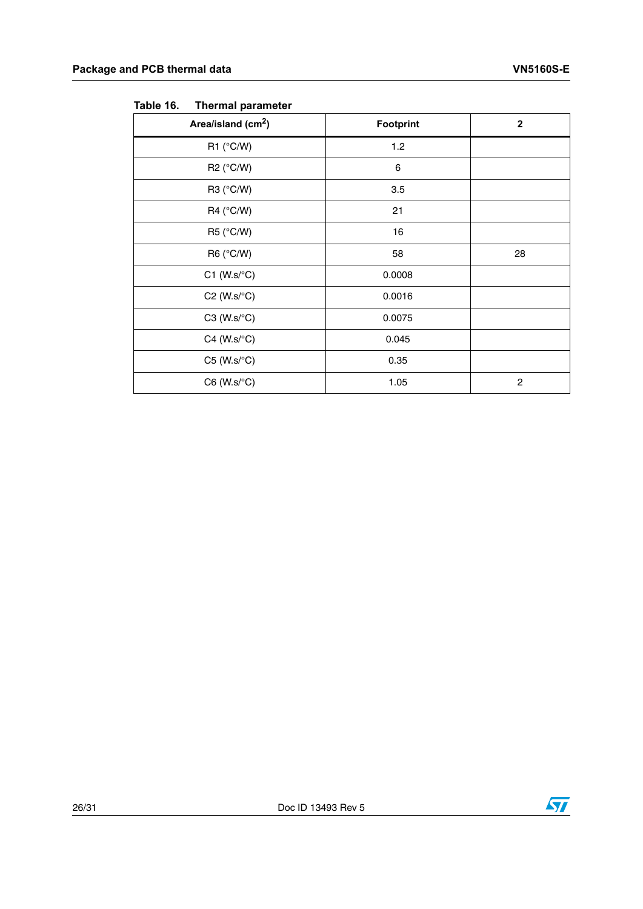| Area/island (cm <sup>2</sup> ) | <b>Footprint</b> | $\boldsymbol{2}$ |
|--------------------------------|------------------|------------------|
| R1 $(^{\circ}C/W)$             | 1.2              |                  |
| R2 (°C/W)                      | 6                |                  |
| R3 (°C/W)                      | 3.5              |                  |
| R4 (°C/W)                      | 21               |                  |
| R5 (°C/W)                      | 16               |                  |
| R6 (°C/W)                      | 58               | 28               |
| $C1$ (W.s/ $\textdegree C$ )   | 0.0008           |                  |
| C2 ( $W.S$ /°C)                | 0.0016           |                  |
| $C3$ (W.s/ $\textdegree C$ )   | 0.0075           |                  |
| $C4$ (W.s/ $\textdegree C$ )   | 0.045            |                  |
| $C5$ (W.s/ $\textdegree C$ )   | 0.35             |                  |
| $C6$ (W.s/ $\textdegree C$ )   | 1.05             | $\overline{c}$   |

<span id="page-25-0"></span>Table 16. **Thermal parameter** 

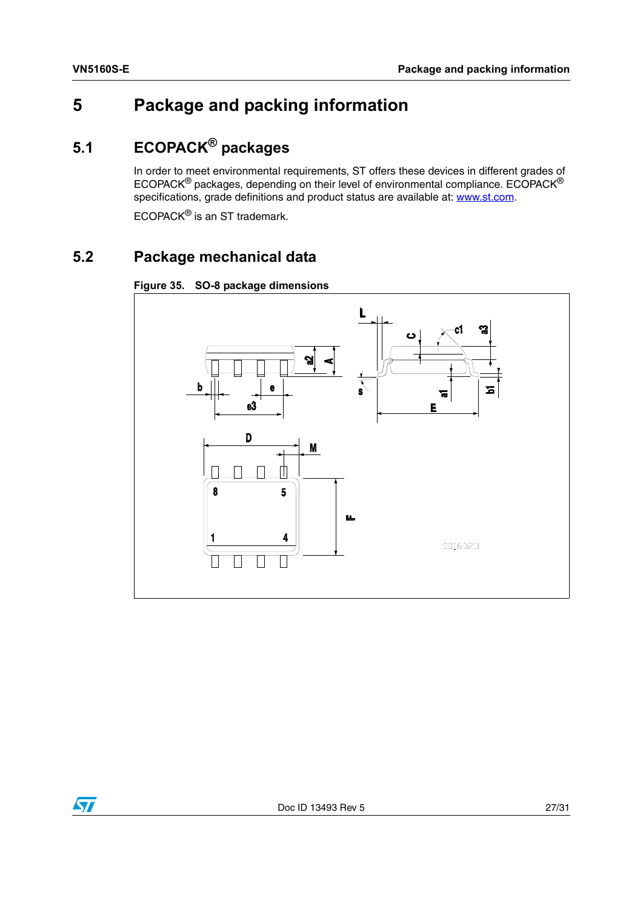# <span id="page-26-0"></span>**5 Package and packing information**

# <span id="page-26-1"></span>**5.1 ECOPACK® packages**

In order to meet environmental requirements, ST offers these devices in different grades of ECOPACK® packages, depending on their level of environmental compliance. ECOPACK® specifications, grade definitions and product status are available at: www.st.com.

ECOPACK® is an ST trademark.

# <span id="page-26-2"></span>**5.2 Package mechanical data**



<span id="page-26-3"></span>**Figure 35. SO-8 package dimensions**

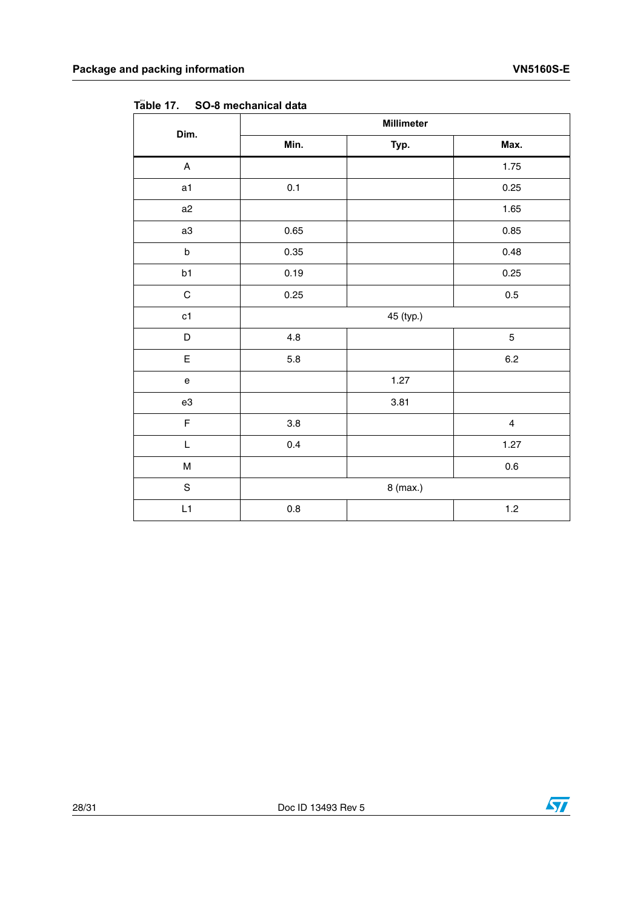| Dim.                      | <b>Millimeter</b> |           |                         |
|---------------------------|-------------------|-----------|-------------------------|
|                           | Min.              | Typ.      | Max.                    |
| $\boldsymbol{\mathsf{A}}$ |                   |           | 1.75                    |
| a1                        | 0.1               |           | 0.25                    |
| a2                        |                   |           | 1.65                    |
| a3                        | 0.65              |           | 0.85                    |
| $\sf b$                   | 0.35              |           | 0.48                    |
| b1                        | 0.19              |           | 0.25                    |
| $\mathsf C$               | 0.25              |           | $0.5\,$                 |
| c1                        |                   | 45 (typ.) |                         |
| $\mathsf D$               | $4.8\,$           |           | $\mathbf 5$             |
| E                         | 5.8               |           | $6.2\,$                 |
| e                         |                   | 1.27      |                         |
| e3                        |                   | 3.81      |                         |
| F                         | $3.8\,$           |           | $\overline{\mathbf{4}}$ |
| L                         | $0.4\,$           |           | 1.27                    |
| М                         |                   |           | $0.6\,$                 |
| $\mathbf S$               |                   | 8 (max.)  |                         |
| L1                        | $0.8\,$           |           | $1.2$                   |

<span id="page-27-0"></span>Täble 17. **Table 17. SO-8 mechanical data**

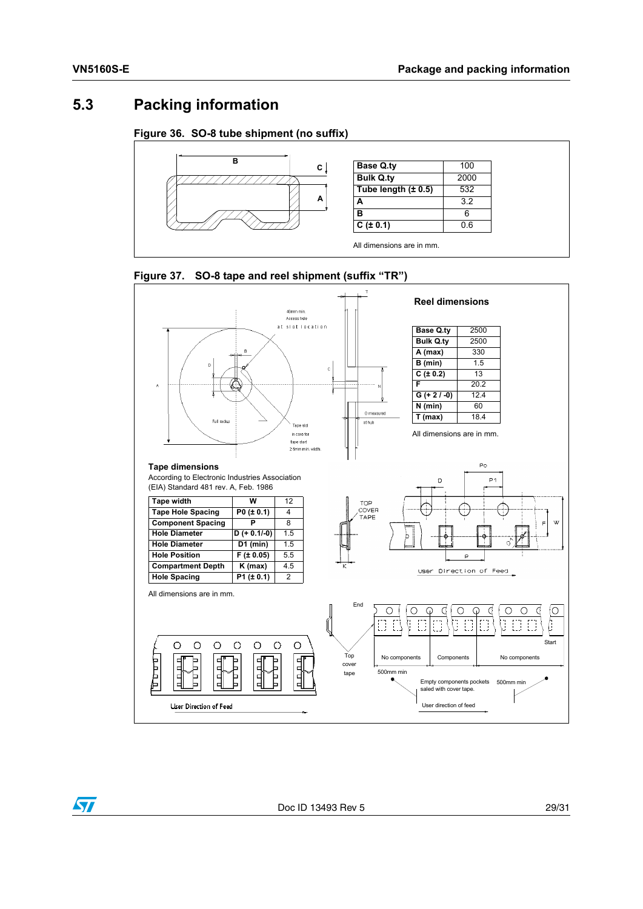## <span id="page-28-0"></span>**5.3 Packing information**

#### <span id="page-28-1"></span>**Figure 36. SO-8 tube shipment (no suffix)**





#### <span id="page-28-2"></span>**Figure 37. SO-8 tape and reel shipment (suffix "TR")**

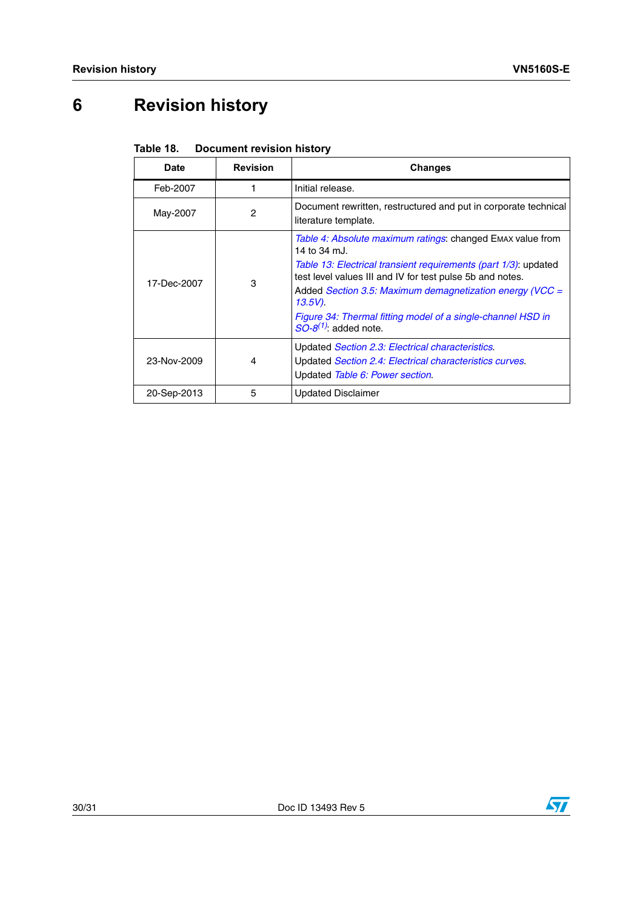# <span id="page-29-0"></span>**6 Revision history**

<span id="page-29-1"></span>

| Table 18. | <b>Document revision history</b> |
|-----------|----------------------------------|
|-----------|----------------------------------|

| <b>Date</b> | <b>Revision</b> | <b>Changes</b>                                                                                                                                                                                                                                                                                                                                                                  |
|-------------|-----------------|---------------------------------------------------------------------------------------------------------------------------------------------------------------------------------------------------------------------------------------------------------------------------------------------------------------------------------------------------------------------------------|
| Feb-2007    |                 | Initial release.                                                                                                                                                                                                                                                                                                                                                                |
| May-2007    | 2               | Document rewritten, restructured and put in corporate technical<br>literature template.                                                                                                                                                                                                                                                                                         |
| 17-Dec-2007 | 3               | Table 4: Absolute maximum ratings: changed EMAX value from<br>14 to 34 mJ.<br>Table 13: Electrical transient requirements (part 1/3): updated<br>test level values III and IV for test pulse 5b and notes.<br>Added Section 3.5: Maximum demagnetization energy (VCC =<br>$13.5V$ ).<br>Figure 34: Thermal fitting model of a single-channel HSD in<br>$SO-8^{(1)}$ added note. |
| 23-Nov-2009 | 4               | Updated Section 2.3: Electrical characteristics.<br>Updated Section 2.4: Electrical characteristics curves.<br>Updated Table 6: Power section.                                                                                                                                                                                                                                  |
| 20-Sep-2013 | 5               | <b>Updated Disclaimer</b>                                                                                                                                                                                                                                                                                                                                                       |